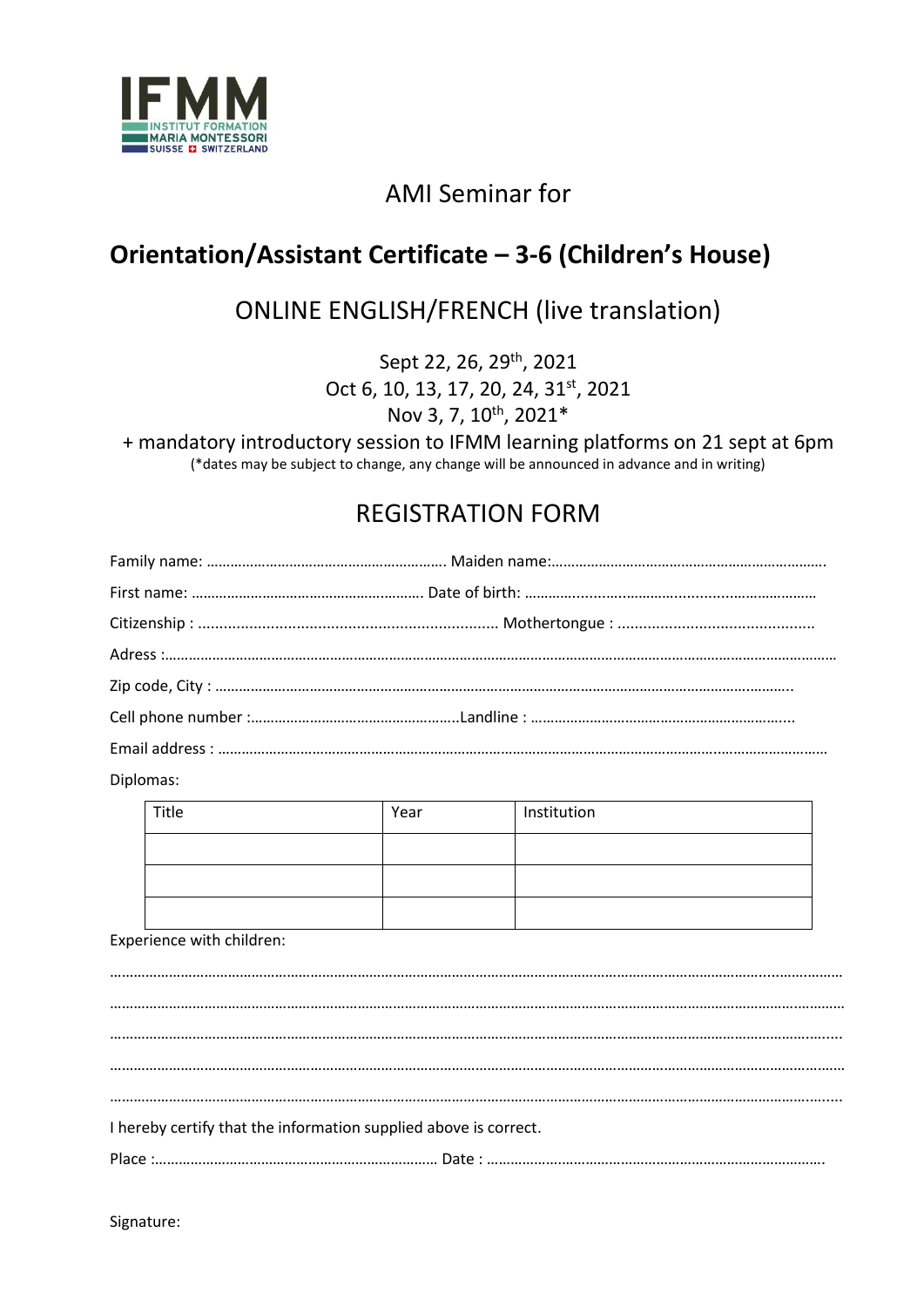

## AMI Seminar for

## **Orientation/Assistant Certificate – 3-6 (Children's House)**

## ONLINE ENGLISH/FRENCH (live translation)

Sept 22, 26, 29<sup>th</sup>, 2021 Oct 6, 10, 13, 17, 20, 24, 31<sup>st</sup>, 2021 Nov 3, 7, 10<sup>th</sup>, 2021\*

+ mandatory introductory session to IFMM learning platforms on 21 sept at 6pm (\*dates may be subject to change, any change will be announced in advance and in writing)

## REGISTRATION FORM

Diplomas:

| Title | Year | Institution |
|-------|------|-------------|
|       |      |             |
|       |      |             |
|       |      |             |

#### Experience with children:

………………………………………………………………………………………………………………………………………………….....…….……… ………………………………………………………………………………………………………………………………………………………….………… …………………………………………………………………………………………………………………………………………………………….…..... ……………………………………………………………………………………………………………………………………………………………….…… …………………………………………………………………………………………………………………………………………………………….…..... I hereby certify that the information supplied above is correct. Place :……………………………………………………………… Date : ……………….………………………………………………………….

Signature: